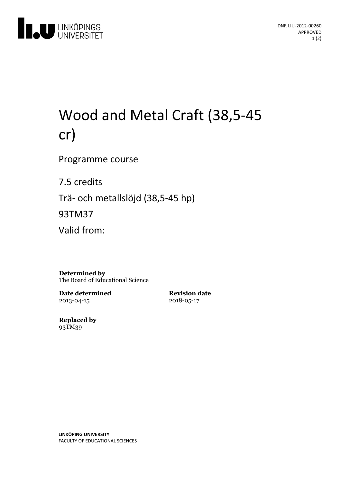

# Wood and Metal Craft (38,5-45 cr)

Programme course

7.5 credits

Trä- och metallslöjd (38,5-45 hp)

93TM37

Valid from:

**Determined by** The Board of Educational Science

**Date determined** 2013-04-15

**Revision date** 2018-05-17

**Replaced by** 93TM39